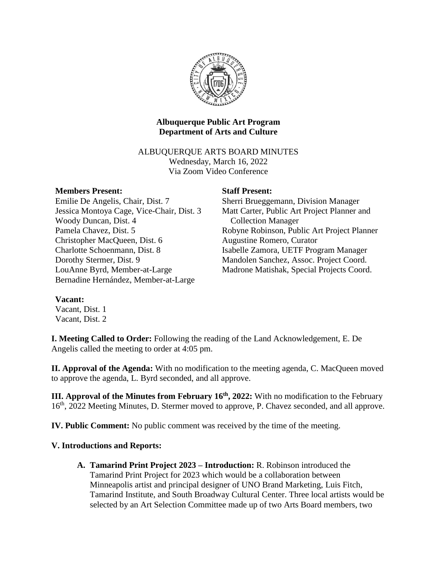

# **Albuquerque Public Art Program Department of Arts and Culture**

ALBUQUERQUE ARTS BOARD MINUTES Wednesday, March 16, 2022 Via Zoom Video Conference

## **Members Present:**

Emilie De Angelis, Chair, Dist. 7 Jessica Montoya Cage, Vice-Chair, Dist. 3 Woody Duncan, Dist. 4 Pamela Chavez, Dist. 5 Christopher MacQueen, Dist. 6 Charlotte Schoenmann, Dist. 8 Dorothy Stermer, Dist. 9 LouAnne Byrd, Member-at-Large Bernadine Hernández, Member-at-Large

### **Staff Present:**

Sherri Brueggemann, Division Manager Matt Carter, Public Art Project Planner and \_\_Collection Manager Robyne Robinson, Public Art Project Planner Augustine Romero, Curator Isabelle Zamora, UETF Program Manager Mandolen Sanchez, Assoc. Project Coord. Madrone Matishak, Special Projects Coord.

## **Vacant:**

Vacant, Dist. 1 Vacant, Dist. 2

**I. Meeting Called to Order:** Following the reading of the Land Acknowledgement, E. De Angelis called the meeting to order at 4:05 pm.

**II. Approval of the Agenda:** With no modification to the meeting agenda, C. MacQueen moved to approve the agenda, L. Byrd seconded, and all approve.

**III. Approval of the Minutes from February 16<sup>th</sup>, 2022: With no modification to the February** 16<sup>th</sup>, 2022 Meeting Minutes, D. Stermer moved to approve, P. Chavez seconded, and all approve.

**IV. Public Comment:** No public comment was received by the time of the meeting.

## **V. Introductions and Reports:**

**A. Tamarind Print Project 2023 – Introduction:** R. Robinson introduced the Tamarind Print Project for 2023 which would be a collaboration between Minneapolis artist and principal designer of UNO Brand Marketing, Luis Fitch, Tamarind Institute, and South Broadway Cultural Center. Three local artists would be selected by an Art Selection Committee made up of two Arts Board members, two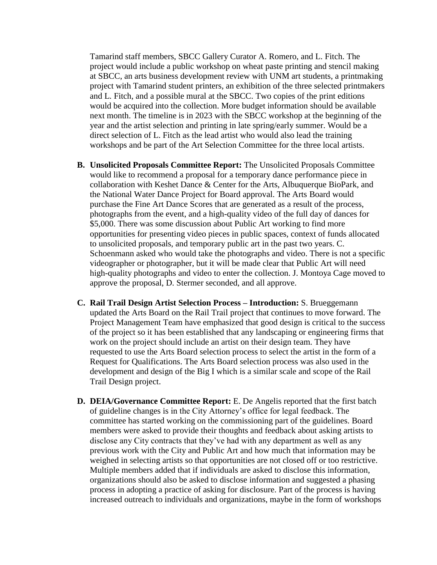Tamarind staff members, SBCC Gallery Curator A. Romero, and L. Fitch. The project would include a public workshop on wheat paste printing and stencil making at SBCC, an arts business development review with UNM art students, a printmaking project with Tamarind student printers, an exhibition of the three selected printmakers and L. Fitch, and a possible mural at the SBCC. Two copies of the print editions would be acquired into the collection. More budget information should be available next month. The timeline is in 2023 with the SBCC workshop at the beginning of the year and the artist selection and printing in late spring/early summer. Would be a direct selection of L. Fitch as the lead artist who would also lead the training workshops and be part of the Art Selection Committee for the three local artists.

- **B. Unsolicited Proposals Committee Report:** The Unsolicited Proposals Committee would like to recommend a proposal for a temporary dance performance piece in collaboration with Keshet Dance & Center for the Arts, Albuquerque BioPark, and the National Water Dance Project for Board approval. The Arts Board would purchase the Fine Art Dance Scores that are generated as a result of the process, photographs from the event, and a high-quality video of the full day of dances for \$5,000. There was some discussion about Public Art working to find more opportunities for presenting video pieces in public spaces, context of funds allocated to unsolicited proposals, and temporary public art in the past two years. C. Schoenmann asked who would take the photographs and video. There is not a specific videographer or photographer, but it will be made clear that Public Art will need high-quality photographs and video to enter the collection. J. Montoya Cage moved to approve the proposal, D. Stermer seconded, and all approve.
- **C. Rail Trail Design Artist Selection Process – Introduction:** S. Brueggemann updated the Arts Board on the Rail Trail project that continues to move forward. The Project Management Team have emphasized that good design is critical to the success of the project so it has been established that any landscaping or engineering firms that work on the project should include an artist on their design team. They have requested to use the Arts Board selection process to select the artist in the form of a Request for Qualifications. The Arts Board selection process was also used in the development and design of the Big I which is a similar scale and scope of the Rail Trail Design project.
- **D. DEIA/Governance Committee Report:** E. De Angelis reported that the first batch of guideline changes is in the City Attorney's office for legal feedback. The committee has started working on the commissioning part of the guidelines. Board members were asked to provide their thoughts and feedback about asking artists to disclose any City contracts that they've had with any department as well as any previous work with the City and Public Art and how much that information may be weighed in selecting artists so that opportunities are not closed off or too restrictive. Multiple members added that if individuals are asked to disclose this information, organizations should also be asked to disclose information and suggested a phasing process in adopting a practice of asking for disclosure. Part of the process is having increased outreach to individuals and organizations, maybe in the form of workshops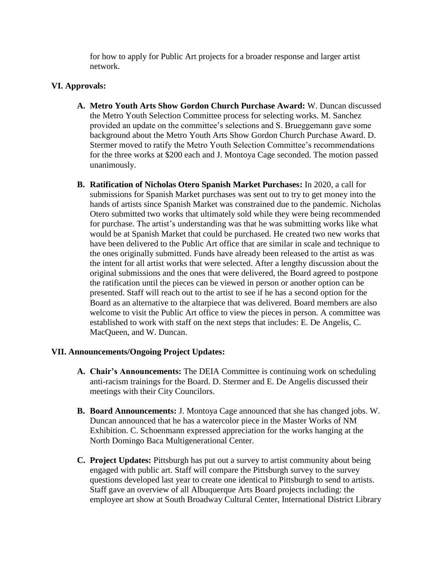for how to apply for Public Art projects for a broader response and larger artist network.

# **VI. Approvals:**

- **A. Metro Youth Arts Show Gordon Church Purchase Award:** W. Duncan discussed the Metro Youth Selection Committee process for selecting works. M. Sanchez provided an update on the committee's selections and S. Brueggemann gave some background about the Metro Youth Arts Show Gordon Church Purchase Award. D. Stermer moved to ratify the Metro Youth Selection Committee's recommendations for the three works at \$200 each and J. Montoya Cage seconded. The motion passed unanimously.
- **B. Ratification of Nicholas Otero Spanish Market Purchases:** In 2020, a call for submissions for Spanish Market purchases was sent out to try to get money into the hands of artists since Spanish Market was constrained due to the pandemic. Nicholas Otero submitted two works that ultimately sold while they were being recommended for purchase. The artist's understanding was that he was submitting works like what would be at Spanish Market that could be purchased. He created two new works that have been delivered to the Public Art office that are similar in scale and technique to the ones originally submitted. Funds have already been released to the artist as was the intent for all artist works that were selected. After a lengthy discussion about the original submissions and the ones that were delivered, the Board agreed to postpone the ratification until the pieces can be viewed in person or another option can be presented. Staff will reach out to the artist to see if he has a second option for the Board as an alternative to the altarpiece that was delivered. Board members are also welcome to visit the Public Art office to view the pieces in person. A committee was established to work with staff on the next steps that includes: E. De Angelis, C. MacQueen, and W. Duncan.

## **VII. Announcements/Ongoing Project Updates:**

- **A. Chair's Announcements:** The DEIA Committee is continuing work on scheduling anti-racism trainings for the Board. D. Stermer and E. De Angelis discussed their meetings with their City Councilors.
- **B. Board Announcements:** J. Montoya Cage announced that she has changed jobs. W. Duncan announced that he has a watercolor piece in the Master Works of NM Exhibition. C. Schoenmann expressed appreciation for the works hanging at the North Domingo Baca Multigenerational Center.
- **C. Project Updates:** Pittsburgh has put out a survey to artist community about being engaged with public art. Staff will compare the Pittsburgh survey to the survey questions developed last year to create one identical to Pittsburgh to send to artists. Staff gave an overview of all Albuquerque Arts Board projects including: the employee art show at South Broadway Cultural Center, International District Library